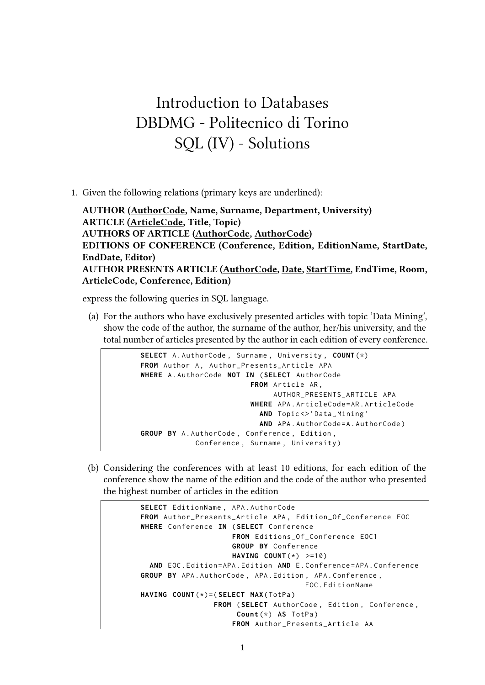## Introduction to Databases DBDMG - Politecnico di Torino SQL (IV) - Solutions

1. Given the following relations (primary keys are underlined):

**AUTHOR (AuthorCode, Name, Surname, Department, University) ARTICLE (ArticleCode, Title, Topic) AUTHORS OF ARTICLE (AuthorCode, AuthorCode) EDITIONS OF CONFERENCE (Conference, Edition, EditionName, StartDate, EndDate, Editor) AUTHOR PRESENTS ARTICLE (AuthorCode, Date, StartTime, EndTime, Room, ArticleCode, Conference, Edition)**

express the following queries in SQL language.

(a) For the authors who have exclusively presented articles with topic 'Data Mining', show the code of the author, the surname of the author, her/his university, and the total number of articles presented by the author in each edition of every conference.

```
SELECT A . AuthorCode , Surname , University , COUNT (*)
FROM Author A, Author_Presents_Article APA
WHERE A . AuthorCode NOT IN ( SELECT AuthorCode
                         FROM Article AR ,
                               AUTHOR_PRESENTS_ARTICLE APA
                          WHERE APA . ArticleCode = AR . ArticleCode
                            AND Topic <> 'Data_Mining'
                            AND APA. AuthorCode=A. AuthorCode)
GROUP BY A . AuthorCode , Conference , Edition ,
             Conference, Surname, University)
```
(b) Considering the conferences with at least 10 editions, for each edition of the conference show the name of the edition and the code of the author who presented the highest number of articles in the edition

```
SELECT EditionName , APA . AuthorCode
FROM Author_Presents_Article APA , Edition_Of_Conference EOC
WHERE Conference IN ( SELECT Conference
                     FROM Editions_Of_Conference EOC1
                     GROUP BY Conference
                     HAVING COUNT (*) >=10)
  AND EOC . Edition = APA . Edition AND E . Conference = APA . Conference
GROUP BY APA . AuthorCode , APA . Edition , APA . Conference ,
                                       EOC . EditionName
HAVING COUNT (*)=( SELECT MAX ( TotPa )
                 FROM ( SELECT AuthorCode , Edition , Conference ,
                       Count (*) AS TotPa )
                     FROM Author_Presents_Article AA
```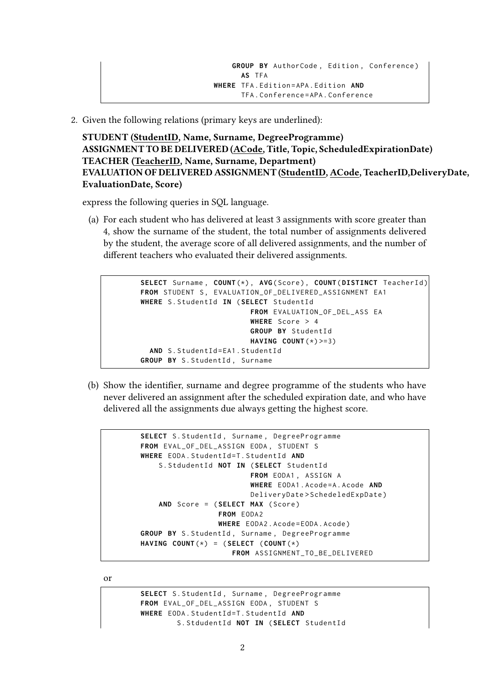2. Given the following relations (primary keys are underlined):

**STUDENT (StudentID, Name, Surname, DegreeProgramme) ASSIGNMENT TO BE DELIVERED (ACode, Title, Topic, ScheduledExpirationDate) TEACHER (TeacherID, Name, Surname, Department) EVALUATION OF DELIVERED ASSIGNMENT (StudentID, ACode, TeacherID,DeliveryDate, EvaluationDate, Score)**

express the following queries in SQL language.

(a) For each student who has delivered at least 3 assignments with score greater than 4, show the surname of the student, the total number of assignments delivered by the student, the average score of all delivered assignments, and the number of different teachers who evaluated their delivered assignments.

```
SELECT Surname , COUNT (*) , AVG ( Score ) , COUNT ( DISTINCT TeacherId )
FROM STUDENT S. EVALUATION OF DELIVERED ASSIGNMENT EA1
WHERE S . StudentId IN ( SELECT StudentId
                          FROM EVALUATION_OF_DEL_ASS EA
                         WHERE Score > 4
                         GROUP BY StudentId
                         HAVING COUNT (*) >=3)
  AND S. StudentId=EA1. StudentId
GROUP BY S. StudentId, Surname
```
(b) Show the identifier, surname and degree programme of the students who have never delivered an assignment after the scheduled expiration date, and who have delivered all the assignments due always getting the highest score.

```
SELECT S. StudentId, Surname, DegreeProgramme
FROM EVAL_OF_DEL_ASSIGN EODA , STUDENT S
WHERE EODA . StudentId = T . StudentId AND
    S . StdudentId NOT IN ( SELECT StudentId
                          FROM EODA1 , ASSIGN A
                          WHERE EODA1 . Acode = A . Acode AND
                          DeliveryDate > SchedeledExpDate )
    AND Score = ( SELECT MAX ( Score )
                  FROM EODA2
                  WHERE EODA2 . Acode = EODA . Acode )
GROUP BY S. StudentId, Surname, DegreeProgramme
HAVING COUNT (*) = ( SELECT ( COUNT (*)
                      FROM ASSIGNMENT_TO_BE_DELIVERED
```
or

SELECT S. StudentId, Surname, DegreeProgramme **FROM** EVAL\_OF\_DEL\_ASSIGN EODA , STUDENT S **WHERE** EODA . StudentId = T . StudentId **AND** S . StdudentId **NOT IN** ( **SELECT** StudentId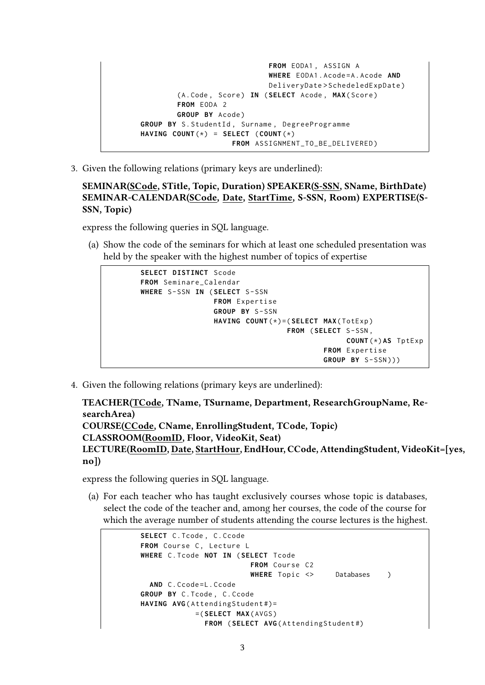```
FROM EODA1 , ASSIGN A
                               WHERE EODA1 . Acode = A . Acode AND
                               DeliveryDate > SchedeledExpDate )
        ( A . Code , Score ) IN ( SELECT Acode , MAX ( Score )
        FROM EODA 2
        GROUP BY Acode )
GROUP BY S. StudentId, Surname, DegreeProgramme
HAVING COUNT(*) = SELECT (COUNT(*)FROM ASSIGNMENT_TO_BE_DELIVERED )
```
3. Given the following relations (primary keys are underlined):

**SEMINAR(SCode, STitle, Topic, Duration) SPEAKER(S-SSN, SName, BirthDate) SEMINAR-CALENDAR(SCode, Date, StartTime, S-SSN, Room) EXPERTISE(S-SSN, Topic)**

express the following queries in SQL language.

(a) Show the code of the seminars for which at least one scheduled presentation was held by the speaker with the highest number of topics of expertise

```
SELECT DISTINCT Scode
FROM Seminare_Calendar
WHERE S - SSN IN ( SELECT S - SSN
                 FROM Expertise
                  GROUP BY S - SSN
                  HAVING COUNT (*)=( SELECT MAX ( TotExp )
                                    FROM ( SELECT S - SSN ,
                                                   COUNT (*) AS TptExp
                                             FROM Expertise
                                             GROUP BY S - SSN )))
```
4. Given the following relations (primary keys are underlined):

```
TEACHER(TCode, TName, TSurname, Department, ResearchGroupName, Re-
searchArea)
COURSE(CCode, CName, EnrollingStudent, TCode, Topic)
CLASSROOM(RoomID, Floor, VideoKit, Seat)
LECTURE(RoomID, Date, StartHour, EndHour, CCode, AttendingStudent, VideoKit=[yes,
no])
```
express the following queries in SQL language.

(a) For each teacher who has taught exclusively courses whose topic is databases, select the code of the teacher and, among her courses, the code of the course for which the average number of students attending the course lectures is the highest.

```
SELECT C. Tcode, C. Ccode
FROM Course C, Lecture L
WHERE C . Tcode NOT IN ( SELECT Tcode
                         FROM Course C2
                         WHERE Topic <> Databases )
  AND C. Ccode=L. Ccode
GROUP BY C . Tcode , C . Ccode
HAVING AVG(AttendingStudent#)=
            =( SELECT MAX ( AVGS )
              FROM ( SELECT AVG ( AttendingStudent #)
```